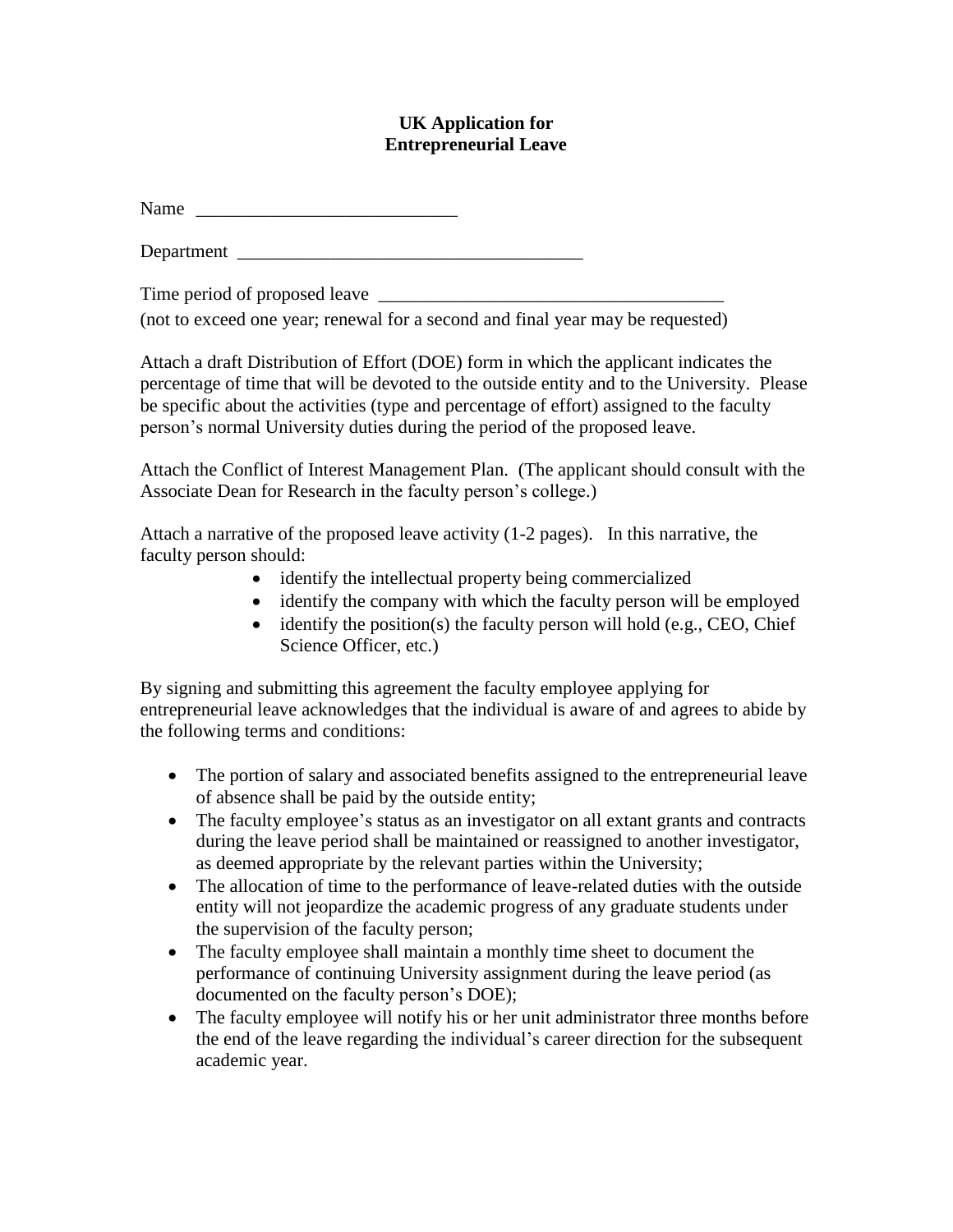## **UK Application for Entrepreneurial Leave**

Name \_\_\_\_\_\_\_\_\_\_\_\_\_\_\_\_\_\_\_\_\_\_\_\_\_\_\_\_

Department \_\_\_\_\_\_\_\_\_\_\_\_\_\_\_\_\_\_\_\_\_\_\_\_\_\_\_\_\_\_\_\_\_\_\_\_\_

Time period of proposed leave \_\_\_\_\_\_\_\_\_\_\_\_\_\_\_\_\_\_\_\_\_\_\_\_\_\_\_\_\_\_\_\_\_\_\_\_\_

(not to exceed one year; renewal for a second and final year may be requested)

Attach a draft Distribution of Effort (DOE) form in which the applicant indicates the percentage of time that will be devoted to the outside entity and to the University. Please be specific about the activities (type and percentage of effort) assigned to the faculty person's normal University duties during the period of the proposed leave.

Attach the Conflict of Interest Management Plan. (The applicant should consult with the Associate Dean for Research in the faculty person's college.)

Attach a narrative of the proposed leave activity (1-2 pages). In this narrative, the faculty person should:

- identify the intellectual property being commercialized
- identify the company with which the faculty person will be employed
- $\bullet$  identify the position(s) the faculty person will hold (e.g., CEO, Chief Science Officer, etc.)

By signing and submitting this agreement the faculty employee applying for entrepreneurial leave acknowledges that the individual is aware of and agrees to abide by the following terms and conditions:

- The portion of salary and associated benefits assigned to the entrepreneurial leave of absence shall be paid by the outside entity;
- The faculty employee's status as an investigator on all extant grants and contracts during the leave period shall be maintained or reassigned to another investigator, as deemed appropriate by the relevant parties within the University;
- The allocation of time to the performance of leave-related duties with the outside entity will not jeopardize the academic progress of any graduate students under the supervision of the faculty person;
- The faculty employee shall maintain a monthly time sheet to document the performance of continuing University assignment during the leave period (as documented on the faculty person's DOE);
- The faculty employee will notify his or her unit administrator three months before the end of the leave regarding the individual's career direction for the subsequent academic year.